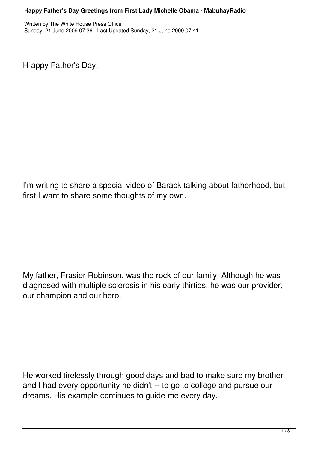H appy Father's Day,

I'm writing to share a special video of Barack talking about fatherhood, but first I want to share some thoughts of my own.

My father, Frasier Robinson, was the rock of our family. Although he was diagnosed with multiple sclerosis in his early thirties, he was our provider, our champion and our hero.

He worked tirelessly through good days and bad to make sure my brother and I had every opportunity he didn't -- to go to college and pursue our dreams. His example continues to guide me every day.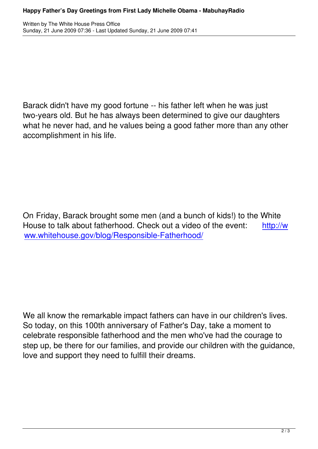Written by The White House Press Office House Press Office House Press Office House Press Office House Press O

Barack didn't have my good fortune -- his father left when he was just two-years old. But he has always been determined to give our daughters what he never had, and he values being a good father more than any other accomplishment in his life.

On Friday, Barack brought some men (and a bunch of kids!) to the White House to talk about fatherhood. Check out a video of the event: http://w ww.whitehouse.gov/blog/Responsible-Fatherhood/

We all know the remarkable impact fathers can have in our children's lives. So today, on this 100th anniversary of Father's Day, take a moment to celebrate responsible fatherhood and the men who've had the courage to step up, be there for our families, and provide our children with the guidance, love and support they need to fulfill their dreams.